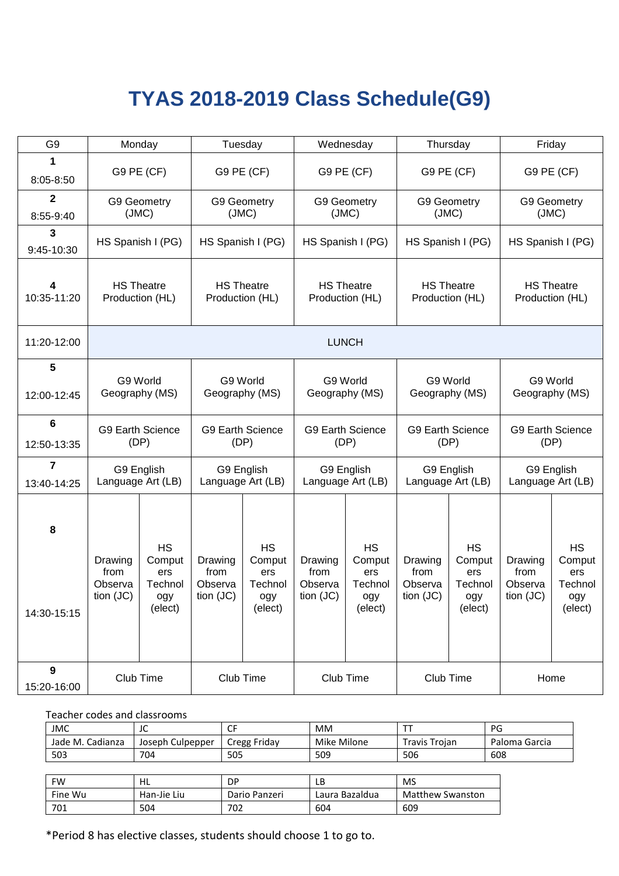## **TYAS 2018-2019 Class Schedule(G9)**

| G <sub>9</sub>             |                                           | Monday                                                                                                                                                       |                                                                    | Tuesday                                                 |                                           | Wednesday                                               | Thursday                                |                                                         | Friday                                    |                                                         |
|----------------------------|-------------------------------------------|--------------------------------------------------------------------------------------------------------------------------------------------------------------|--------------------------------------------------------------------|---------------------------------------------------------|-------------------------------------------|---------------------------------------------------------|-----------------------------------------|---------------------------------------------------------|-------------------------------------------|---------------------------------------------------------|
| 1<br>8:05-8:50             |                                           | G9 PE (CF)                                                                                                                                                   |                                                                    | G9 PE (CF)                                              |                                           | G9 PE (CF)<br>G9 PE (CF)                                |                                         |                                                         |                                           | G9 PE (CF)                                              |
| $\mathbf 2$<br>8:55-9:40   |                                           | G9 Geometry<br>(JMC)                                                                                                                                         |                                                                    | G9 Geometry<br>(JMC)                                    | G9 Geometry<br>(JMC)                      |                                                         | G9 Geometry<br>(JMC)                    |                                                         |                                           | G9 Geometry<br>(JMC)                                    |
| $\mathbf{3}$<br>9:45-10:30 |                                           | HS Spanish I (PG)                                                                                                                                            |                                                                    | HS Spanish I (PG)                                       |                                           | HS Spanish I (PG)                                       |                                         | HS Spanish I (PG)                                       |                                           | HS Spanish I (PG)                                       |
| 4<br>10:35-11:20           |                                           | <b>HS Theatre</b><br><b>HS Theatre</b><br><b>HS Theatre</b><br><b>HS Theatre</b><br>Production (HL)<br>Production (HL)<br>Production (HL)<br>Production (HL) |                                                                    | <b>HS Theatre</b><br>Production (HL)                    |                                           |                                                         |                                         |                                                         |                                           |                                                         |
| 11:20-12:00                |                                           | <b>LUNCH</b>                                                                                                                                                 |                                                                    |                                                         |                                           |                                                         |                                         |                                                         |                                           |                                                         |
| 5                          |                                           |                                                                                                                                                              |                                                                    |                                                         |                                           |                                                         |                                         |                                                         |                                           |                                                         |
| 12:00-12:45                |                                           | G9 World<br>G9 World<br>Geography (MS)<br>Geography (MS)                                                                                                     |                                                                    |                                                         | G9 World<br>Geography (MS)                |                                                         |                                         | G9 World<br>Geography (MS)                              |                                           | G9 World<br>Geography (MS)                              |
| 6<br>12:50-13:35           |                                           | <b>G9 Earth Science</b><br>(DP)                                                                                                                              | <b>G9 Earth Science</b><br><b>G9 Earth Science</b><br>(DP)<br>(DP) |                                                         |                                           | <b>G9 Earth Science</b><br>(DP)                         |                                         | <b>G9 Earth Science</b><br>(DP)                         |                                           |                                                         |
| 7<br>13:40-14:25           |                                           | G9 English<br>Language Art (LB)                                                                                                                              |                                                                    | G9 English<br>Language Art (LB)                         |                                           | G9 English<br>Language Art (LB)                         | G9 English<br>Language Art (LB)         |                                                         |                                           | G9 English<br>Language Art (LB)                         |
| 8<br>14:30-15:15           | Drawing<br>from<br>Observa<br>tion $(JC)$ | <b>HS</b><br>Comput<br>ers<br>Technol<br>ogy<br>(elect)                                                                                                      | Drawing<br>from<br>Observa<br>tion (JC)                            | <b>HS</b><br>Comput<br>ers<br>Technol<br>ogy<br>(elect) | Drawing<br>from<br>Observa<br>tion $(JC)$ | <b>HS</b><br>Comput<br>ers<br>Technol<br>ogy<br>(elect) | Drawing<br>from<br>Observa<br>tion (JC) | <b>HS</b><br>Comput<br>ers<br>Technol<br>ogy<br>(elect) | Drawing<br>from<br>Observa<br>tion $(JC)$ | <b>HS</b><br>Comput<br>ers<br>Technol<br>ogy<br>(elect) |
| 9<br>15:20-16:00           |                                           | Club Time                                                                                                                                                    |                                                                    | Club Time                                               | Club Time                                 |                                                         | Club Time                               |                                                         |                                           | Home                                                    |

Teacher codes and classrooms

| <b>JMC</b>       | $\sqrt{2}$<br>JU | ~-<br>ີ         | MM          |               | PG            |
|------------------|------------------|-----------------|-------------|---------------|---------------|
| Jade M. Cadianza | Joseph Culpepper | Fridav<br>Cregg | Mike Milone | Travis Troian | Paloma Garcia |
| 503              | 704              | 505             | 509         | 506           | 608           |

| FW      | HL          | DP            | LΒ             | MS                      |
|---------|-------------|---------------|----------------|-------------------------|
| Fine Wu | Han-Jie Liu | Dario Panzeri | Laura Bazaldua | <b>Matthew Swanston</b> |
| 701     | 504         | 702           | 604            | 609                     |

\*Period 8 has elective classes, students should choose 1 to go to.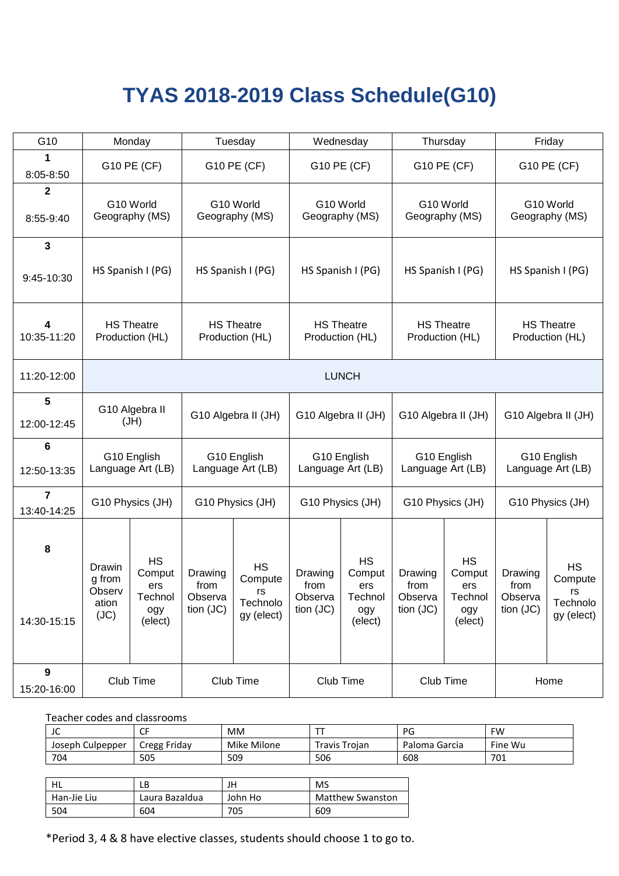## **TYAS 2018-2019 Class Schedule(G10)**

| G10                                    |                                             | Monday                                                                                                                                                       |                                         | Tuesday                                              | Wednesday                               |                                                         |                                         | Thursday                                                | Friday                                  |                                                      |
|----------------------------------------|---------------------------------------------|--------------------------------------------------------------------------------------------------------------------------------------------------------------|-----------------------------------------|------------------------------------------------------|-----------------------------------------|---------------------------------------------------------|-----------------------------------------|---------------------------------------------------------|-----------------------------------------|------------------------------------------------------|
| 1<br>8:05-8:50                         |                                             | G10 PE (CF)                                                                                                                                                  |                                         | G10 PE (CF)                                          | G10 PE (CF)                             |                                                         | G10 PE (CF)                             |                                                         |                                         | G10 PE (CF)                                          |
| $\mathbf 2$<br>8:55-9:40               |                                             | G10 World<br>G10 World<br>Geography (MS)<br>Geography (MS)                                                                                                   |                                         | G10 World<br>Geography (MS)                          |                                         | G10 World<br>Geography (MS)                             |                                         |                                                         | G10 World<br>Geography (MS)             |                                                      |
| $\mathbf{3}$<br>9:45-10:30             |                                             | HS Spanish I (PG)                                                                                                                                            | HS Spanish I (PG)                       |                                                      | HS Spanish I (PG)                       |                                                         | HS Spanish I (PG)                       |                                                         | HS Spanish I (PG)                       |                                                      |
| 4<br>10:35-11:20                       |                                             | <b>HS Theatre</b><br><b>HS Theatre</b><br><b>HS Theatre</b><br><b>HS Theatre</b><br>Production (HL)<br>Production (HL)<br>Production (HL)<br>Production (HL) |                                         |                                                      | <b>HS Theatre</b><br>Production (HL)    |                                                         |                                         |                                                         |                                         |                                                      |
| 11:20-12:00                            |                                             | <b>LUNCH</b>                                                                                                                                                 |                                         |                                                      |                                         |                                                         |                                         |                                                         |                                         |                                                      |
| 5<br>12:00-12:45                       |                                             | G10 Algebra II<br>(HU)                                                                                                                                       | G10 Algebra II (JH)                     |                                                      | G10 Algebra II (JH)                     |                                                         | G10 Algebra II (JH)                     |                                                         |                                         | G10 Algebra II (JH)                                  |
| 6<br>12:50-13:35                       |                                             | G10 English<br>Language Art (LB)                                                                                                                             | G10 English<br>Language Art (LB)        |                                                      | G10 English<br>Language Art (LB)        |                                                         | G10 English<br>Language Art (LB)        |                                                         |                                         | G10 English<br>Language Art (LB)                     |
| $\overline{\mathbf{r}}$<br>13:40-14:25 |                                             | G10 Physics (JH)                                                                                                                                             |                                         | G10 Physics (JH)                                     | G10 Physics (JH)                        |                                                         |                                         | G10 Physics (JH)                                        |                                         | G10 Physics (JH)                                     |
| 8<br>14:30-15:15                       | Drawin<br>g from<br>Observ<br>ation<br>(JC) | <b>HS</b><br>Comput<br>ers<br>Technol<br>ogy<br>(elect)                                                                                                      | Drawing<br>from<br>Observa<br>tion (JC) | <b>HS</b><br>Compute<br>rs<br>Technolo<br>gy (elect) | Drawing<br>from<br>Observa<br>tion (JC) | <b>HS</b><br>Comput<br>ers<br>Technol<br>ogy<br>(elect) | Drawing<br>from<br>Observa<br>tion (JC) | <b>HS</b><br>Comput<br>ers<br>Technol<br>ogy<br>(elect) | Drawing<br>from<br>Observa<br>tion (JC) | <b>HS</b><br>Compute<br>rs<br>Technolo<br>gy (elect) |
| 9<br>15:20-16:00                       |                                             | Club Time                                                                                                                                                    |                                         | Club Time                                            | Club Time                               |                                                         |                                         | Club Time                                               | Home                                    |                                                      |

Teacher codes and classrooms

| JC               |              | <b>MM</b>      |               | DC<br>ــا        | <b>FW</b> |
|------------------|--------------|----------------|---------------|------------------|-----------|
| Joseph Culpepper | Cregg Friday | Milone<br>Mike | Travis Troian | Garcia<br>Paloma | Fine Wu   |
| 704              | 505          | 509            | 506           | 608              | 701       |

|             | LВ             | JH      | <b>MS</b>               |
|-------------|----------------|---------|-------------------------|
| Han-Jie Liu | Laura Bazaldua | John Ho | <b>Matthew Swanston</b> |
| 504         | 604            | 705     | 609                     |

\*Period 3, 4 & 8 have elective classes, students should choose 1 to go to.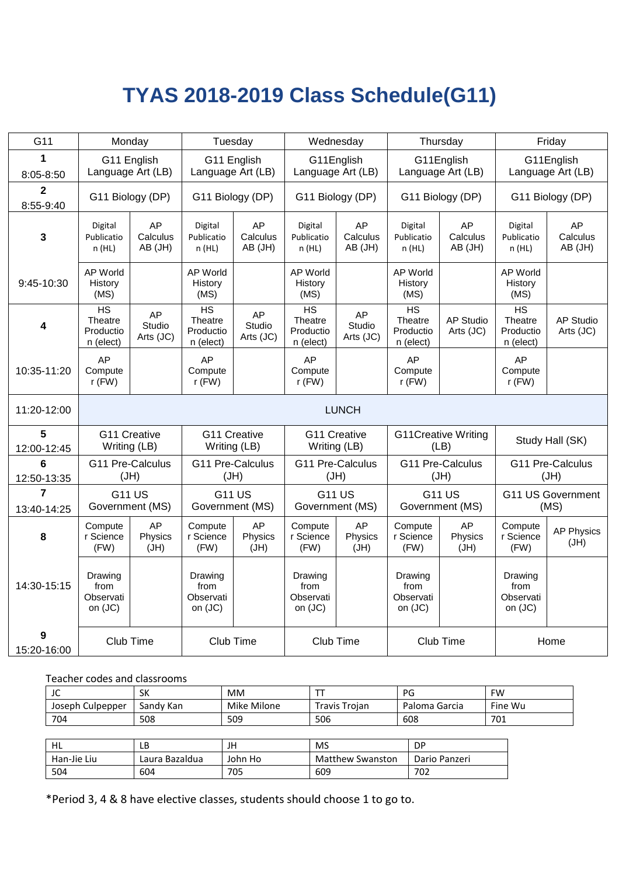# **TYAS 2018-2019 Class Schedule(G11)**

| G11                       | Monday                                               |                           | Tuesday                                              |                              | Wednesday                                            |                           |                                         | Thursday                           |                                         | Friday                           |  |
|---------------------------|------------------------------------------------------|---------------------------|------------------------------------------------------|------------------------------|------------------------------------------------------|---------------------------|-----------------------------------------|------------------------------------|-----------------------------------------|----------------------------------|--|
| 1                         | G11 English<br>Language Art (LB)                     |                           | G11 English<br>Language Art (LB)                     |                              | G11English<br>Language Art (LB)                      |                           |                                         | G11English<br>Language Art (LB)    |                                         | G11English<br>Language Art (LB)  |  |
| 8:05-8:50                 |                                                      |                           |                                                      |                              |                                                      |                           |                                         |                                    |                                         |                                  |  |
| $\mathbf{2}$<br>8:55-9:40 | G11 Biology (DP)                                     |                           | G11 Biology (DP)                                     |                              | G11 Biology (DP)                                     |                           |                                         | G11 Biology (DP)                   |                                         | G11 Biology (DP)                 |  |
| $\mathbf{3}$              | Digital<br>Publicatio<br>n(HL)                       | AP<br>Calculus<br>AB (JH) | Digital<br>Publicatio<br>n (HL)                      | AP<br>Calculus<br>AB (JH)    | Digital<br>Publicatio<br>n(HL)                       | AP<br>Calculus<br>AB (JH) | Digital<br>Publicatio<br>n (HL)         | AP<br>Calculus<br>AB (JH)          | Digital<br>Publicatio<br>n(HL)          | AP<br>Calculus<br>AB (JH)        |  |
| 9:45-10:30                | AP World<br>History<br>(MS)                          |                           | AP World<br>History<br>(MS)                          |                              | AP World<br>History<br>(MS)                          |                           | <b>AP World</b><br>History<br>(MS)      |                                    | <b>AP World</b><br>History<br>(MS)      |                                  |  |
| 4                         | $\overline{HS}$<br>Theatre<br>Productio<br>n (elect) | AP<br>Studio<br>Arts (JC) | $\overline{HS}$<br>Theatre<br>Productio<br>n (elect) | AP<br>Studio<br>Arts (JC)    | $\overline{HS}$<br>Theatre<br>Productio<br>n (elect) | AP<br>Studio<br>Arts (JC) | HS<br>Theatre<br>Productio<br>n (elect) | <b>AP Studio</b><br>Arts (JC)      | HS<br>Theatre<br>Productio<br>n (elect) | <b>AP Studio</b><br>Arts (JC)    |  |
| 10:35-11:20               | AP<br>Compute<br>$r$ (FW)                            |                           | AP<br>Compute<br>$r$ (FW)                            |                              | AP<br>Compute<br>$r$ (FW)                            |                           | AP<br>Compute<br>$r$ (FW)               |                                    | AP<br>Compute<br>$r$ (FW)               |                                  |  |
| 11:20-12:00               |                                                      |                           |                                                      |                              |                                                      | <b>LUNCH</b>              |                                         |                                    |                                         |                                  |  |
| 5<br>12:00-12:45          | G11 Creative<br>Writing (LB)                         |                           | G11 Creative<br>Writing (LB)                         |                              | G11 Creative<br>Writing (LB)                         |                           |                                         | <b>G11Creative Writing</b><br>(LB) | Study Hall (SK)                         |                                  |  |
| 6<br>12:50-13:35          | G11 Pre-Calculus<br>(HU)                             |                           | G11 Pre-Calculus<br>(HU)                             |                              | G11 Pre-Calculus<br>(HU)                             |                           |                                         | G11 Pre-Calculus<br>(HU)           |                                         | G11 Pre-Calculus<br>(HU)         |  |
| 7<br>13:40-14:25          | <b>G11 US</b><br>Government (MS)                     |                           | <b>G11 US</b><br>Government (MS)                     |                              | <b>G11 US</b><br>Government (MS)                     |                           |                                         | <b>G11 US</b><br>Government (MS)   |                                         | <b>G11 US Government</b><br>(MS) |  |
| 8                         | Compute<br>r Science<br>(FW)                         | AP<br>Physics<br>(JH)     | Compute<br>r Science<br>(FW)                         | <b>AP</b><br>Physics<br>(JH) | Compute<br>r Science<br>(FW)                         | AP<br>Physics<br>(JH)     | Compute<br>r Science<br>(FW)            | AP<br>Physics<br>(JH)              | Compute<br>r Science<br>(FW)            | <b>AP Physics</b><br>(JH)        |  |
| 14:30-15:15               | Drawing<br>from<br>Observati<br>on (JC)              |                           | Drawing<br>from<br>Observati<br>on (JC)              |                              | Drawing<br>from<br>Observati<br>on (JC)              |                           | Drawing<br>from<br>Observati<br>on (JC) |                                    | Drawing<br>from<br>Observati<br>on (JC) |                                  |  |
| 9<br>15:20-16:00          | Club Time                                            |                           | Club Time                                            |                              | Club Time                                            |                           |                                         | Club Time                          | Home                                    |                                  |  |

Teacher codes and classrooms

| $\sim$<br>JU     | SK        | <b>MM</b>   |               | PG            | <b>FW</b> |
|------------------|-----------|-------------|---------------|---------------|-----------|
| Joseph Culpepper | Sandy Kan | Mike Milone | Travis Troian | Paloma Garcia | Fine Wu   |
| 704              | 508       | 509         | 506           | 608           | 701       |

| HL          | LD             | JH      | MS               | DP            |
|-------------|----------------|---------|------------------|---------------|
| Han-Jie Liu | Laura Bazaldua | John Ho | Matthew Swanston | Dario Panzeri |
| 504         | 604            | 705     | 609              | 702           |

\*Period 3, 4 & 8 have elective classes, students should choose 1 to go to.